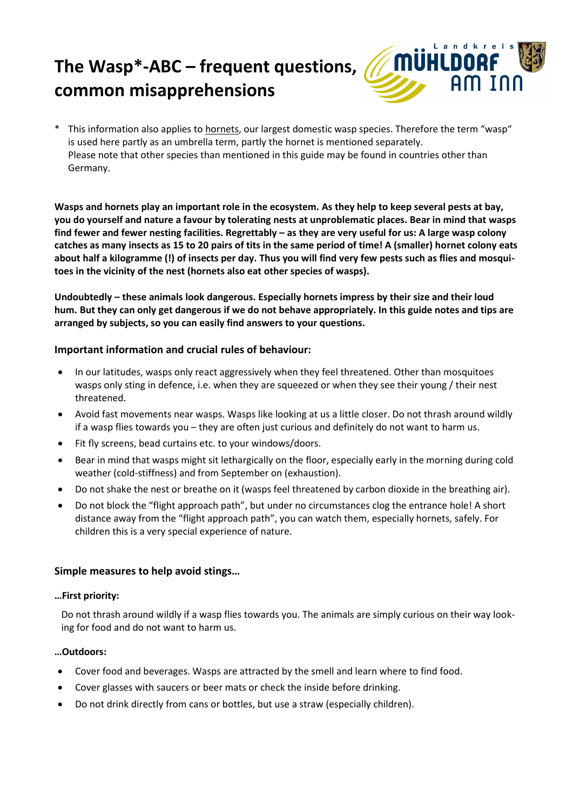# **The Wasp\*-ABC – frequent questions, common misapprehensions**



\* This information also applies to hornets, our largest domestic wasp species. Therefore the term "wasp" is used here partly as an umbrella term, partly the hornet is mentioned separately. Please note that other species than mentioned in this guide may be found in countries other than Germany.

**Wasps and hornets play an important role in the ecosystem. As they help to keep several pests at bay, you do yourself and nature a favour by tolerating nests at unproblematic places. Bear in mind that wasps**  find fewer and fewer nesting facilities. Regrettably - as they are very useful for us: A large wasp colony **catches as many insects as 15 to 20 pairs of tits in the same period of time! A (smaller) hornet colony eats about half a kilogramme (!) of insects per day. Thus you will find very few pests such as flies and mosquitoes in the vicinity of the nest (hornets also eat other species of wasps).**

**Undoubtedly – these animals look dangerous. Especially hornets impress by their size and their loud hum. But they can only get dangerous if we do not behave appropriately. In this guide notes and tips are arranged by subjects, so you can easily find answers to your questions.**

### **Important information and crucial rules of behaviour:**

- In our latitudes, wasps only react aggressively when they feel threatened. Other than mosquitoes wasps only sting in defence, i.e. when they are squeezed or when they see their young / their nest threatened.
- Avoid fast movements near wasps. Wasps like looking at us a little closer. Do not thrash around wildly if a wasp flies towards you – they are often just curious and definitely do not want to harm us.
- Fit fly screens, bead curtains etc. to your windows/doors.
- Bear in mind that wasps might sit lethargically on the floor, especially early in the morning during cold weather (cold-stiffness) and from September on (exhaustion).
- Do not shake the nest or breathe on it (wasps feel threatened by carbon dioxide in the breathing air).
- Do not block the "flight approach path", but under no circumstances clog the entrance hole! A short distance away from the "flight approach path", you can watch them, especially hornets, safely. For children this is a very special experience of nature.

### **Simple measures to help avoid stings…**

#### **…First priority:**

Do not thrash around wildly if a wasp flies towards you. The animals are simply curious on their way looking for food and do not want to harm us.

### **…Outdoors:**

- Cover food and beverages. Wasps are attracted by the smell and learn where to find food.
- Cover glasses with saucers or beer mats or check the inside before drinking.
- Do not drink directly from cans or bottles, but use a straw (especially children).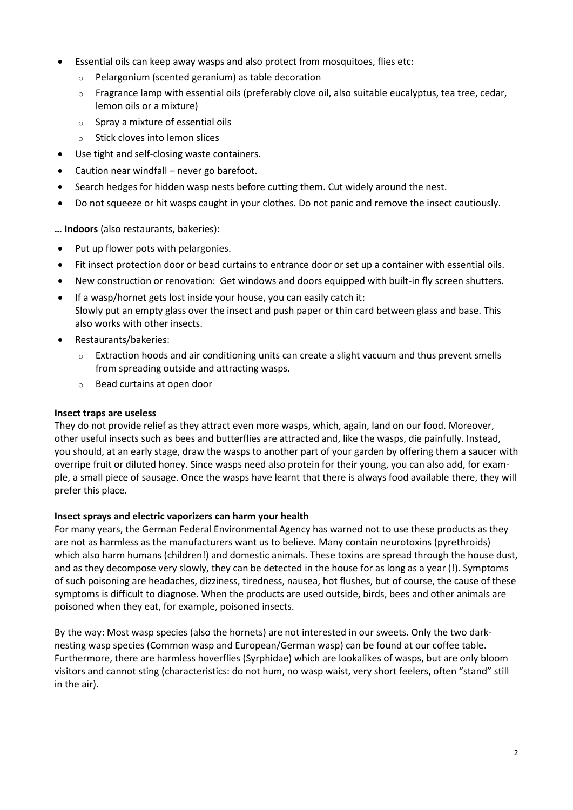- Essential oils can keep away wasps and also protect from mosquitoes, flies etc:
	- o Pelargonium (scented geranium) as table decoration
	- $\circ$  Fragrance lamp with essential oils (preferably clove oil, also suitable eucalyptus, tea tree, cedar, lemon oils or a mixture)
	- $\circ$  Spray a mixture of essential oils
	- o Stick cloves into lemon slices
- Use tight and self-closing waste containers.
- Caution near windfall never go barefoot.
- Search hedges for hidden wasp nests before cutting them. Cut widely around the nest.
- Do not squeeze or hit wasps caught in your clothes. Do not panic and remove the insect cautiously.

**… Indoors** (also restaurants, bakeries):

- Put up flower pots with pelargonies.
- Fit insect protection door or bead curtains to entrance door or set up a container with essential oils.
- New construction or renovation: Get windows and doors equipped with built-in fly screen shutters.
- If a wasp/hornet gets lost inside your house, you can easily catch it: Slowly put an empty glass over the insect and push paper or thin card between glass and base. This also works with other insects.
- Restaurants/bakeries:
	- $\circ$  Extraction hoods and air conditioning units can create a slight vacuum and thus prevent smells from spreading outside and attracting wasps.
	- o Bead curtains at open door

### **Insect traps are useless**

They do not provide relief as they attract even more wasps, which, again, land on our food. Moreover, other useful insects such as bees and butterflies are attracted and, like the wasps, die painfully. Instead, you should, at an early stage, draw the wasps to another part of your garden by offering them a saucer with overripe fruit or diluted honey. Since wasps need also protein for their young, you can also add, for example, a small piece of sausage. Once the wasps have learnt that there is always food available there, they will prefer this place.

### **Insect sprays and electric vaporizers can harm your health**

For many years, the German Federal Environmental Agency has warned not to use these products as they are not as harmless as the manufacturers want us to believe. Many contain neurotoxins (pyrethroids) which also harm humans (children!) and domestic animals. These toxins are spread through the house dust, and as they decompose very slowly, they can be detected in the house for as long as a year (!). Symptoms of such poisoning are headaches, dizziness, tiredness, nausea, hot flushes, but of course, the cause of these symptoms is difficult to diagnose. When the products are used outside, birds, bees and other animals are poisoned when they eat, for example, poisoned insects.

By the way: Most wasp species (also the hornets) are not interested in our sweets. Only the two darknesting wasp species (Common wasp and European/German wasp) can be found at our coffee table. Furthermore, there are harmless hoverflies (Syrphidae) which are lookalikes of wasps, but are only bloom visitors and cannot sting (characteristics: do not hum, no wasp waist, very short feelers, often "stand" still in the air).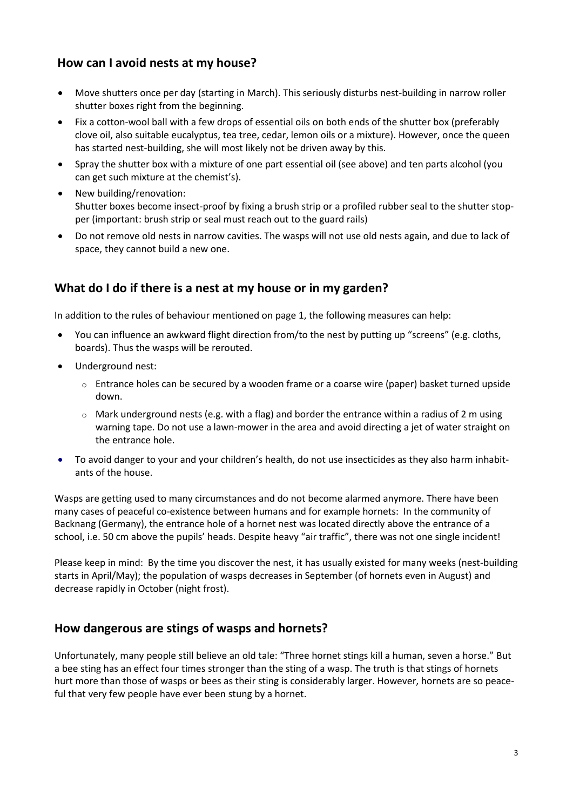# **How can I avoid nests at my house?**

- Move shutters once per day (starting in March). This seriously disturbs nest-building in narrow roller shutter boxes right from the beginning.
- Fix a cotton-wool ball with a few drops of essential oils on both ends of the shutter box (preferably clove oil, also suitable eucalyptus, tea tree, cedar, lemon oils or a mixture). However, once the queen has started nest-building, she will most likely not be driven away by this.
- Spray the shutter box with a mixture of one part essential oil (see above) and ten parts alcohol (you can get such mixture at the chemist's).
- New building/renovation: Shutter boxes become insect-proof by fixing a brush strip or a profiled rubber seal to the shutter stopper (important: brush strip or seal must reach out to the guard rails)
- Do not remove old nests in narrow cavities. The wasps will not use old nests again, and due to lack of space, they cannot build a new one.

# **What do I do if there is a nest at my house or in my garden?**

In addition to the rules of behaviour mentioned on page 1, the following measures can help:

- You can influence an awkward flight direction from/to the nest by putting up "screens" (e.g. cloths, boards). Thus the wasps will be rerouted.
- Underground nest:
	- o Entrance holes can be secured by a wooden frame or a coarse wire (paper) basket turned upside down.
	- $\circ$  Mark underground nests (e.g. with a flag) and border the entrance within a radius of 2 m using warning tape. Do not use a lawn-mower in the area and avoid directing a jet of water straight on the entrance hole.
- To avoid danger to your and your children's health, do not use insecticides as they also harm inhabitants of the house.

Wasps are getting used to many circumstances and do not become alarmed anymore. There have been many cases of peaceful co-existence between humans and for example hornets: In the community of Backnang (Germany), the entrance hole of a hornet nest was located directly above the entrance of a school, i.e. 50 cm above the pupils' heads. Despite heavy "air traffic", there was not one single incident!

Please keep in mind: By the time you discover the nest, it has usually existed for many weeks (nest-building starts in April/May); the population of wasps decreases in September (of hornets even in August) and decrease rapidly in October (night frost).

## **How dangerous are stings of wasps and hornets?**

Unfortunately, many people still believe an old tale: "Three hornet stings kill a human, seven a horse." But a bee sting has an effect four times stronger than the sting of a wasp. The truth is that stings of hornets hurt more than those of wasps or bees as their sting is considerably larger. However, hornets are so peaceful that very few people have ever been stung by a hornet.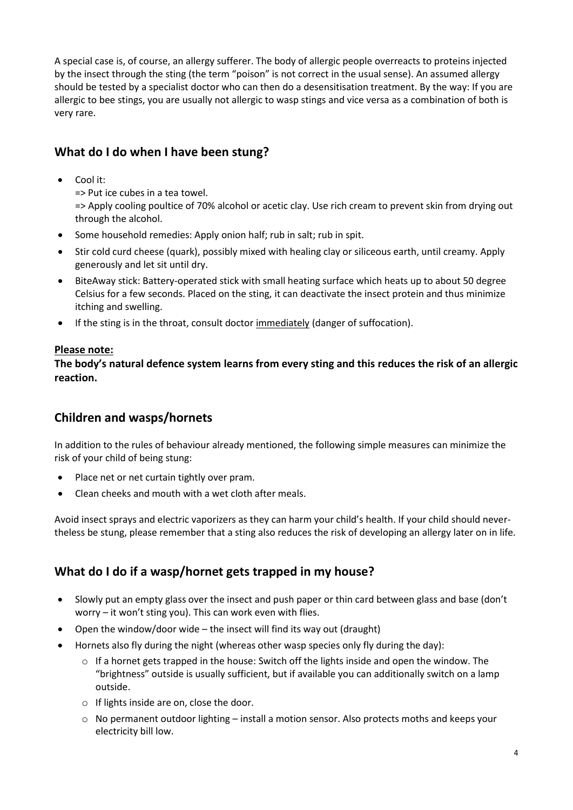A special case is, of course, an allergy sufferer. The body of allergic people overreacts to proteins injected by the insect through the sting (the term "poison" is not correct in the usual sense). An assumed allergy should be tested by a specialist doctor who can then do a desensitisation treatment. By the way: If you are allergic to bee stings, you are usually not allergic to wasp stings and vice versa as a combination of both is very rare.

# **What do I do when I have been stung?**

Cool it:

=> Put ice cubes in a tea towel.

=> Apply cooling poultice of 70% alcohol or acetic clay. Use rich cream to prevent skin from drying out through the alcohol.

- Some household remedies: Apply onion half; rub in salt; rub in spit.
- Stir cold curd cheese (quark), possibly mixed with healing clay or siliceous earth, until creamy. Apply generously and let sit until dry.
- BiteAway stick: Battery-operated stick with small heating surface which heats up to about 50 degree Celsius for a few seconds. Placed on the sting, it can deactivate the insect protein and thus minimize itching and swelling.
- If the sting is in the throat, consult doctor immediately (danger of suffocation).

### **Please note:**

**The body's natural defence system learns from every sting and this reduces the risk of an allergic reaction.**

# **Children and wasps/hornets**

In addition to the rules of behaviour already mentioned, the following simple measures can minimize the risk of your child of being stung:

- Place net or net curtain tightly over pram.
- Clean cheeks and mouth with a wet cloth after meals.

Avoid insect sprays and electric vaporizers as they can harm your child's health. If your child should nevertheless be stung, please remember that a sting also reduces the risk of developing an allergy later on in life.

# **What do I do if a wasp/hornet gets trapped in my house?**

- Slowly put an empty glass over the insect and push paper or thin card between glass and base (don't worry – it won't sting you). This can work even with flies.
- Open the window/door wide the insect will find its way out (draught)
- Hornets also fly during the night (whereas other wasp species only fly during the day):
	- $\circ$  If a hornet gets trapped in the house: Switch off the lights inside and open the window. The "brightness" outside is usually sufficient, but if available you can additionally switch on a lamp outside.
	- o If lights inside are on, close the door.
	- $\circ$  No permanent outdoor lighting install a motion sensor. Also protects moths and keeps your electricity bill low.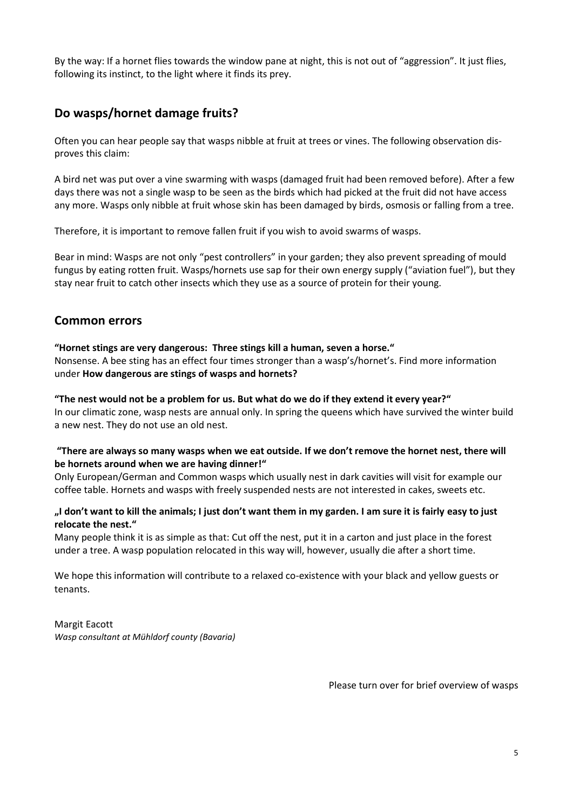By the way: If a hornet flies towards the window pane at night, this is not out of "aggression". It just flies, following its instinct, to the light where it finds its prey.

# **Do wasps/hornet damage fruits?**

Often you can hear people say that wasps nibble at fruit at trees or vines. The following observation disproves this claim:

A bird net was put over a vine swarming with wasps (damaged fruit had been removed before). After a few days there was not a single wasp to be seen as the birds which had picked at the fruit did not have access any more. Wasps only nibble at fruit whose skin has been damaged by birds, osmosis or falling from a tree.

Therefore, it is important to remove fallen fruit if you wish to avoid swarms of wasps.

Bear in mind: Wasps are not only "pest controllers" in your garden; they also prevent spreading of mould fungus by eating rotten fruit. Wasps/hornets use sap for their own energy supply ("aviation fuel"), but they stay near fruit to catch other insects which they use as a source of protein for their young.

## **Common errors**

#### **"Hornet stings are very dangerous: Three stings kill a human, seven a horse."**

Nonsense. A bee sting has an effect four times stronger than a wasp's/hornet's. Find more information under **How dangerous are stings of wasps and hornets?**

#### **"The nest would not be a problem for us. But what do we do if they extend it every year?"**

In our climatic zone, wasp nests are annual only. In spring the queens which have survived the winter build a new nest. They do not use an old nest.

#### **"There are always so many wasps when we eat outside. If we don't remove the hornet nest, there will be hornets around when we are having dinner!"**

Only European/German and Common wasps which usually nest in dark cavities will visit for example our coffee table. Hornets and wasps with freely suspended nests are not interested in cakes, sweets etc.

#### **"I don't want to kill the animals; I just don't want them in my garden. I am sure it is fairly easy to just relocate the nest."**

Many people think it is as simple as that: Cut off the nest, put it in a carton and just place in the forest under a tree. A wasp population relocated in this way will, however, usually die after a short time.

We hope this information will contribute to a relaxed co-existence with your black and yellow guests or tenants.

### Margit Eacott

*Wasp consultant at Mühldorf county (Bavaria)*

Please turn over for brief overview of wasps